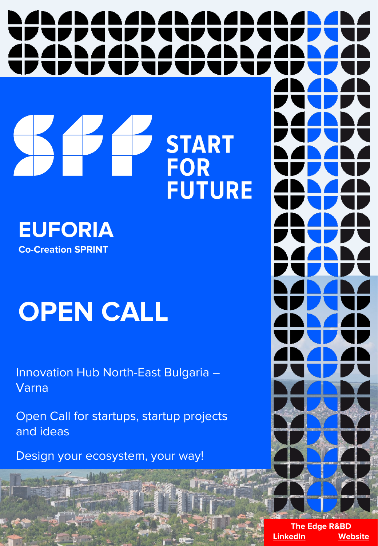# **START**<br>FOR Z OD

**FUTURE** 

**EUFORIA Co-Creation SPRINT** 

### **OPEN CALL**

Innovation Hub North-East Bulgaria – Varna

Open Call for startups, startup projects and ideas

Design your ecosystem, your way!

**The Edge R&BD [LinkedIn](https://bg.linkedin.com/company/the-edge-bulgaria) [Website](https://theedge.solutions/)**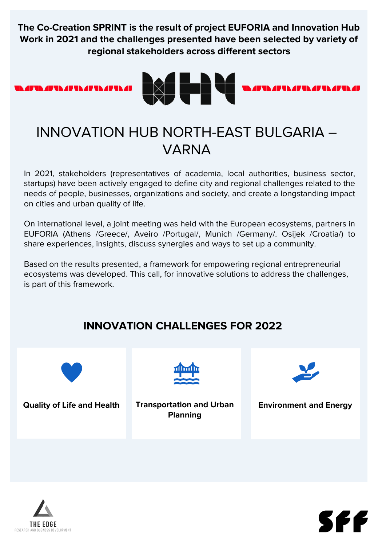**The Co-Creation SPRINT is the result of project EUFORIA and Innovation Hub Work in 2021 and the challenges presented have been selected by variety of regional stakeholders across different sectors**





#### INNOVATION HUB NORTH-EAST BULGARIA – VARNA

In 2021, stakeholders (representatives of academia, local authorities, business sector, startups) have been actively engaged to define city and regional challenges related to the needs of people, businesses, organizations and society, and create a longstanding impact on cities and urban quality of life.

On international level, a joint meeting was held with the European ecosystems, partners in EUFORIA (Athens /Greece/, Aveiro /Portugal/, Munich /Germany/. Osijek /Croatia/) to share experiences, insights, discuss synergies and ways to set up a community.

Based on the results presented, a framework for empowering regional entrepreneurial ecosystems was developed. This call, for innovative solutions to address the challenges, is part of this framework.

#### **INNOVATION CHALLENGES FOR 2022**



**Quality of Life and Health Transportation and Urban Planning**



**Environment and Energy**



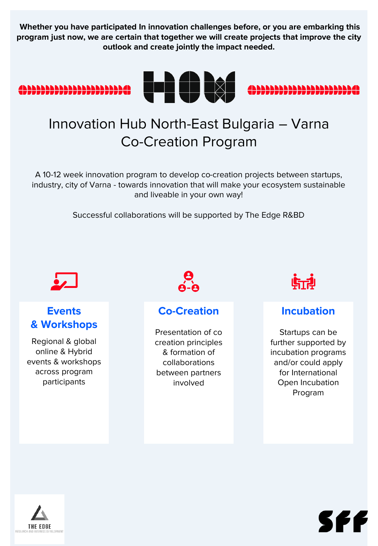**Whether you have participated In innovation challenges before, or you are embarking this program just now, we are certain that together we will create projects that improve the city outlook and create jointly the impact needed.** 







#### Innovation Hub North-East Bulgaria – Varna Co-Creation Program

A 10-12 week innovation program to develop co-creation projects between startups, industry, city of Varna - towards innovation that will make your ecosystem sustainable and liveable in your own way!

Successful collaborations will be supported by The Edge R&BD



#### **Events & Workshops**

Regional & global online & Hybrid events & workshops across program participants



#### **Co-Creation**

Presentation of co creation principles & formation of collaborations between partners involved



#### **Incubation**

Startups can be further supported by incubation programs and/or could apply for International Open Incubation Program



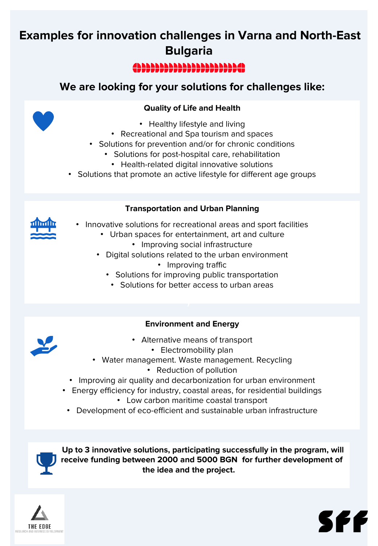#### **Examples for innovation challenges in Varna and North-East Bulgaria**

#### 499999999999999999999949

#### **We are looking for your solutions for challenges like:**

#### **Quality of Life and Health**

- Healthy lifestyle and living
- Recreational and Spa tourism and spaces
- Solutions for prevention and/or for chronic conditions
	- Solutions for post-hospital care, rehabilitation
		- Health-related digital innovative solutions
- Solutions that promote an active lifestyle for different age groups

#### **Transportation and Urban Planning**

- Innovative solutions for recreational areas and sport facilities
	- Urban spaces for entertainment, art and culture
		- Improving social infrastructure
	- Digital solutions related to the urban environment
		- Improving traffic
		- Solutions for improving public transportation
			- Solutions for better access to urban areas

#### **Environment and Energy**

- Alternative means of transport
	- Electromobility plan
- Water management. Waste management. Recycling
	- Reduction of pollution
- Improving air quality and decarbonization for urban environment
- Energy efficiency for industry, coastal areas, for residential buildings
	- Low carbon maritime coastal transport
	- Development of eco-efficient and sustainable urban infrastructure

**Up to 3 innovative solutions, participating successfully in the program, will receive funding between 2000 and 5000 BGN for further development of the idea and the project.**